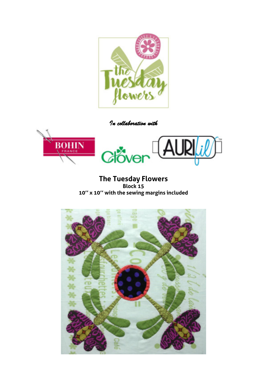

*In collaboration with* 



**The Tuesday Flowers Block 15 10'' x 10'' with the sewing margins included** 

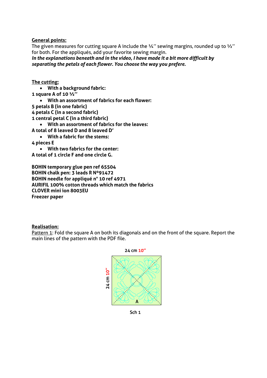**General points:** 

The given measures for cutting square A include the  $\frac{1}{4}$ " sewing margins, rounded up to  $\frac{1}{2}$ " for both. For the appliqués, add your favorite sewing margin.

*In the explanations beneath and in the video, I have made it a bit more difficult by separating the petals of each flower. You choose the way you prefere.* 

**The cutting:** 

 **With a background fabric: 1 square A of 10 ½'' With an assortment of fabrics for each flower: 5 petals B (in one fabric) 4 petals C (in a second fabric) 1 central petal C (in a third fabric) With an assortment of fabrics for the leaves: A total of 8 leaved D and 8 leaved D' With a fabric for the stems: 4 pieces E With two fabrics for the center: A total of 1 circle F and one circle G.**

**BOHIN temporary glue pen ref 65504 BOHIN chalk pen: 3 leads R Nº91472 BOHIN needle for appliqué n° 10 ref 4971 AURIFIL 100% cotton threads which match the fabrics CLOVER mini ion 8003EU Freezer paper** 

## **Realisation:**

Pattern 1: Fold the square A on both its diagonals and on the front of the square. Report the main lines of the pattern with the PDF file.



Sch $1$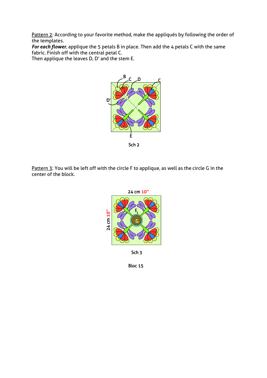Pattern 2: According to your favorite method, make the appliqués by following the order of the templates.

For each flower, applique the 5 petals B in place. Then add the 4 petals C with the same fabric. Finish off with the central petal C.

Then applique the leaves D, D' and the stem E.



Pattern 3: You will be left off with the circle F to applique, as well as the circle G in the center of the block.



**Bloc 15**